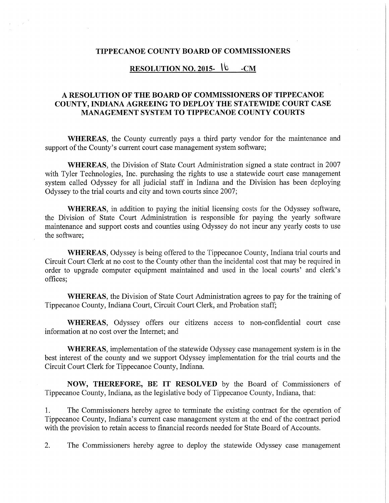## TIPPECANOE COUNTY BOARD OF COMMISSIONERS

## RESOLUTION NO. 2015- $\sqrt{6}$  -CM

## A RESOLUTION OF THE BOARD OF COMMISSIONERS OF TIPPECANOE COUNTY, INDIANA AGREEING TO DEPLOY THE STATEWIDE COURT CASE MANAGEMENT SYSTEM TO TIPPECANOE COUNTY COURTS

WHEREAS, the County currently pays <sup>a</sup> third party vendor for the maintenance and support of the County's current court case management system software;

WHEREAS, the Division of State Court Administration signed <sup>a</sup> state contract in 2007 with Tyler Technologies, Inc. purchasing the rights to use <sup>a</sup> statewide court case management system called Odyssey for all judicial staff in Indiana and the Division has been deploying Odyssey to the trial courts and city and town courts since 2007;

WHEREAS, in addition to paying the initial licensing costs for the Odyssey software, the Division of State Court Administration is responsible for paying the yearly software maintenance and support costs and counties using Odyssey do not incur any yearly costs to use the software;

WHEREAS, Odyssey is being offered to the Tippecanoe County, Indiana trial courts and Circuit Court Clerk at no cost to the County other than the incidental cost that may be required in order to upgrade computer equipment maintained and used in the local courts" and clerk's offices;

WHEREAS, the Division of State Court Administration agrees to pay for the training of Tippecanoe County, Indiana Court, Circuit Court Clerk, and Probation staff;

WHEREAS, Odyssey offers our citizens access to non-confidential court case information at no costover the Internet; and

WHEREAS, implementation of the statewide Odyssey case management system is in the best interest of the county and we support Odyssey implementation for the trial courts and the Circuit Court Clerk for Tippecanoe County, Indiana.

NOW, THEREFORE, BE IT RESOLVED by the Board of Commissioners of Tippecanoe County, Indiana, as the legislative body of Tippecanoe County, Indiana, that:

l. The Commissioners hereby agree to terminate the existing contract for the operation of Tippecanoe County, Indiana's current case management system at the end of the contract period with the provision to retain access to financial records needed for State Board of Accounts.

2. The Commissioners hereby agree to deploy the statewide Odyssey case management